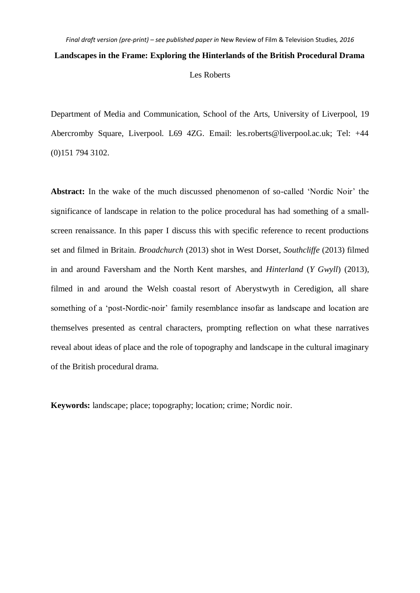Department of Media and Communication, School of the Arts, University of Liverpool, 19 Abercromby Square, Liverpool. L69 4ZG. Email: les.roberts@liverpool.ac.uk; Tel: +44 (0)151 794 3102.

Abstract: In the wake of the much discussed phenomenon of so-called 'Nordic Noir' the significance of landscape in relation to the police procedural has had something of a smallscreen renaissance. In this paper I discuss this with specific reference to recent productions set and filmed in Britain. *Broadchurch* (2013) shot in West Dorset*, Southcliffe* (2013) filmed in and around Faversham and the North Kent marshes, and *Hinterland* (*Y Gwyll*) (2013), filmed in and around the Welsh coastal resort of Aberystwyth in Ceredigion, all share something of a 'post-Nordic-noir' family resemblance insofar as landscape and location are themselves presented as central characters, prompting reflection on what these narratives reveal about ideas of place and the role of topography and landscape in the cultural imaginary of the British procedural drama.

**Keywords:** landscape; place; topography; location; crime; Nordic noir.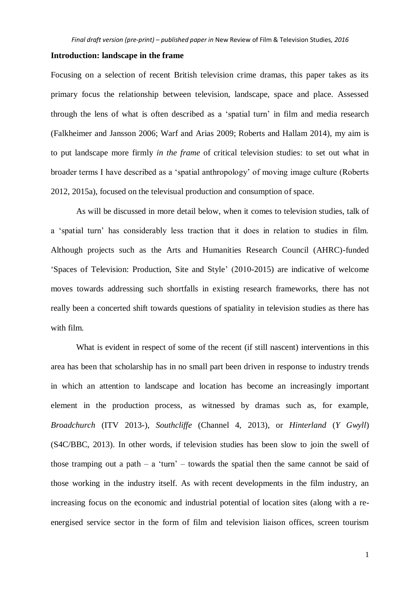#### **Introduction: landscape in the frame**

Focusing on a selection of recent British television crime dramas, this paper takes as its primary focus the relationship between television, landscape, space and place. Assessed through the lens of what is often described as a 'spatial turn' in film and media research (Falkheimer and Jansson 2006; Warf and Arias 2009; Roberts and Hallam 2014), my aim is to put landscape more firmly *in the frame* of critical television studies: to set out what in broader terms I have described as a 'spatial anthropology' of moving image culture (Roberts 2012, 2015a), focused on the televisual production and consumption of space.

As will be discussed in more detail below, when it comes to television studies, talk of a 'spatial turn' has considerably less traction that it does in relation to studies in film. Although projects such as the Arts and Humanities Research Council (AHRC)-funded 'Spaces of Television: Production, Site and Style' (2010-2015) are indicative of welcome moves towards addressing such shortfalls in existing research frameworks, there has not really been a concerted shift towards questions of spatiality in television studies as there has with film.

What is evident in respect of some of the recent (if still nascent) interventions in this area has been that scholarship has in no small part been driven in response to industry trends in which an attention to landscape and location has become an increasingly important element in the production process, as witnessed by dramas such as, for example, *Broadchurch* (ITV 2013-), *Southcliffe* (Channel 4, 2013), or *Hinterland* (*Y Gwyll*) (S4C/BBC, 2013). In other words, if television studies has been slow to join the swell of those tramping out a path  $-$  a 'turn'  $-$  towards the spatial then the same cannot be said of those working in the industry itself. As with recent developments in the film industry, an increasing focus on the economic and industrial potential of location sites (along with a reenergised service sector in the form of film and television liaison offices, screen tourism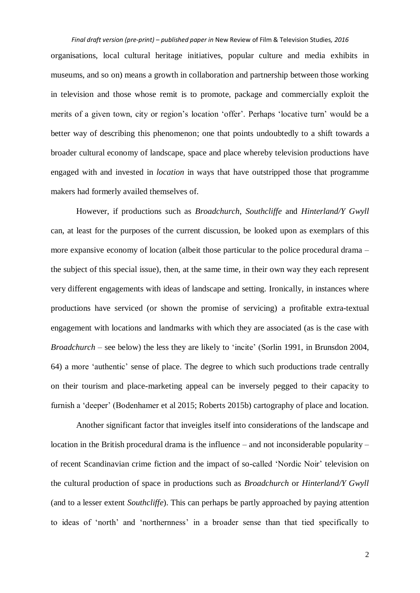*Final draft version (pre-print) – published paper in* New Review of Film & Television Studies*, 2016* organisations, local cultural heritage initiatives, popular culture and media exhibits in museums, and so on) means a growth in collaboration and partnership between those working in television and those whose remit is to promote, package and commercially exploit the merits of a given town, city or region's location 'offer'. Perhaps 'locative turn' would be a better way of describing this phenomenon; one that points undoubtedly to a shift towards a broader cultural economy of landscape, space and place whereby television productions have engaged with and invested in *location* in ways that have outstripped those that programme makers had formerly availed themselves of.

However, if productions such as *Broadchurch*, *Southcliffe* and *Hinterland/Y Gwyll* can, at least for the purposes of the current discussion, be looked upon as exemplars of this more expansive economy of location (albeit those particular to the police procedural drama – the subject of this special issue), then, at the same time, in their own way they each represent very different engagements with ideas of landscape and setting. Ironically, in instances where productions have serviced (or shown the promise of servicing) a profitable extra-textual engagement with locations and landmarks with which they are associated (as is the case with *Broadchurch* – see below) the less they are likely to 'incite' (Sorlin 1991, in Brunsdon 2004, 64) a more 'authentic' sense of place. The degree to which such productions trade centrally on their tourism and place-marketing appeal can be inversely pegged to their capacity to furnish a 'deeper' (Bodenhamer et al 2015; Roberts 2015b) cartography of place and location.

Another significant factor that inveigles itself into considerations of the landscape and location in the British procedural drama is the influence – and not inconsiderable popularity – of recent Scandinavian crime fiction and the impact of so-called 'Nordic Noir' television on the cultural production of space in productions such as *Broadchurch* or *Hinterland/Y Gwyll* (and to a lesser extent *Southcliffe*). This can perhaps be partly approached by paying attention to ideas of 'north' and 'northernness' in a broader sense than that tied specifically to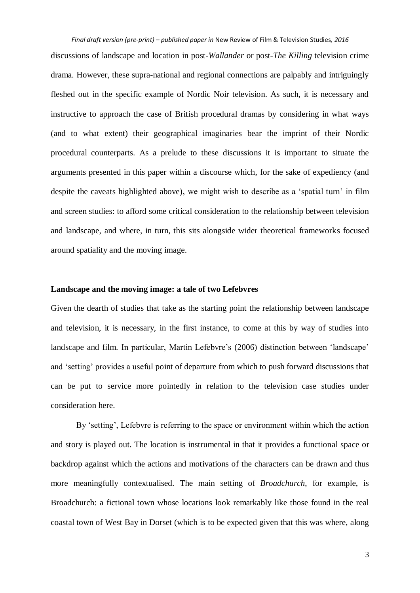discussions of landscape and location in post-*Wallander* or post-*The Killing* television crime drama. However, these supra-national and regional connections are palpably and intriguingly fleshed out in the specific example of Nordic Noir television. As such, it is necessary and instructive to approach the case of British procedural dramas by considering in what ways (and to what extent) their geographical imaginaries bear the imprint of their Nordic procedural counterparts. As a prelude to these discussions it is important to situate the arguments presented in this paper within a discourse which, for the sake of expediency (and despite the caveats highlighted above), we might wish to describe as a 'spatial turn' in film and screen studies: to afford some critical consideration to the relationship between television and landscape, and where, in turn, this sits alongside wider theoretical frameworks focused around spatiality and the moving image.

## **Landscape and the moving image: a tale of two Lefebvres**

Given the dearth of studies that take as the starting point the relationship between landscape and television, it is necessary, in the first instance, to come at this by way of studies into landscape and film. In particular, Martin Lefebvre's (2006) distinction between 'landscape' and 'setting' provides a useful point of departure from which to push forward discussions that can be put to service more pointedly in relation to the television case studies under consideration here.

By 'setting', Lefebvre is referring to the space or environment within which the action and story is played out. The location is instrumental in that it provides a functional space or backdrop against which the actions and motivations of the characters can be drawn and thus more meaningfully contextualised. The main setting of *Broadchurch*, for example, is Broadchurch: a fictional town whose locations look remarkably like those found in the real coastal town of West Bay in Dorset (which is to be expected given that this was where, along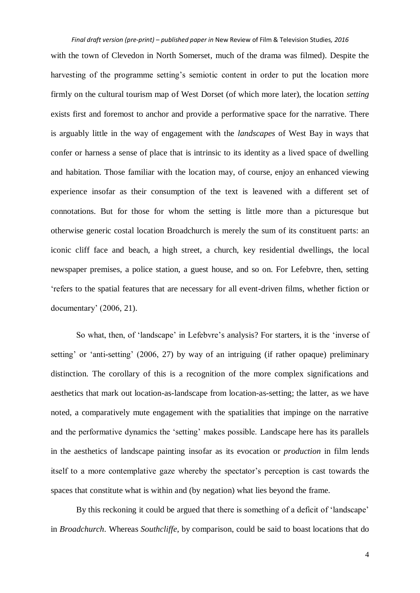with the town of Clevedon in North Somerset, much of the drama was filmed). Despite the harvesting of the programme setting's semiotic content in order to put the location more firmly on the cultural tourism map of West Dorset (of which more later), the location *setting* exists first and foremost to anchor and provide a performative space for the narrative. There is arguably little in the way of engagement with the *landscapes* of West Bay in ways that confer or harness a sense of place that is intrinsic to its identity as a lived space of dwelling and habitation. Those familiar with the location may, of course, enjoy an enhanced viewing experience insofar as their consumption of the text is leavened with a different set of connotations. But for those for whom the setting is little more than a picturesque but otherwise generic costal location Broadchurch is merely the sum of its constituent parts: an iconic cliff face and beach, a high street, a church, key residential dwellings, the local newspaper premises, a police station, a guest house, and so on. For Lefebvre, then, setting 'refers to the spatial features that are necessary for all event-driven films, whether fiction or documentary' (2006, 21).

So what, then, of 'landscape' in Lefebvre's analysis? For starters, it is the 'inverse of setting' or 'anti-setting' (2006, 27) by way of an intriguing (if rather opaque) preliminary distinction. The corollary of this is a recognition of the more complex significations and aesthetics that mark out location-as-landscape from location-as-setting; the latter, as we have noted, a comparatively mute engagement with the spatialities that impinge on the narrative and the performative dynamics the 'setting' makes possible. Landscape here has its parallels in the aesthetics of landscape painting insofar as its evocation or *production* in film lends itself to a more contemplative gaze whereby the spectator's perception is cast towards the spaces that constitute what is within and (by negation) what lies beyond the frame.

By this reckoning it could be argued that there is something of a deficit of 'landscape' in *Broadchurch*. Whereas *Southcliffe*, by comparison, could be said to boast locations that do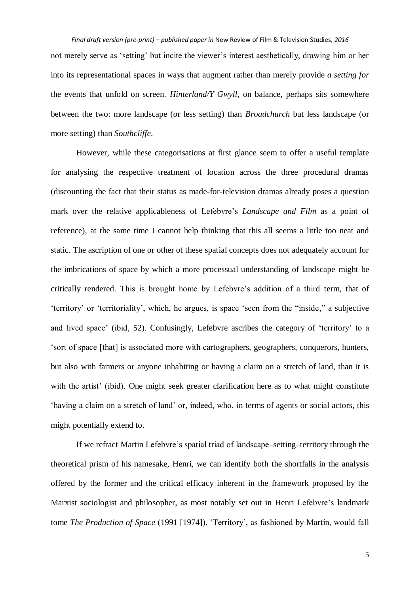*Final draft version (pre-print) – published paper in* New Review of Film & Television Studies*, 2016* not merely serve as 'setting' but incite the viewer's interest aesthetically, drawing him or her into its representational spaces in ways that augment rather than merely provide *a setting for* the events that unfold on screen. *Hinterland/Y Gwyll*, on balance, perhaps sits somewhere between the two: more landscape (or less setting) than *Broadchurch* but less landscape (or more setting) than *Southcliffe*.

However, while these categorisations at first glance seem to offer a useful template for analysing the respective treatment of location across the three procedural dramas (discounting the fact that their status as made-for-television dramas already poses a question mark over the relative applicableness of Lefebvre's *Landscape and Film* as a point of reference), at the same time I cannot help thinking that this all seems a little too neat and static. The ascription of one or other of these spatial concepts does not adequately account for the imbrications of space by which a more processual understanding of landscape might be critically rendered. This is brought home by Lefebvre's addition of a third term, that of 'territory' or 'territoriality', which, he argues, is space 'seen from the "inside," a subjective and lived space' (ibid, 52). Confusingly, Lefebvre ascribes the category of 'territory' to a 'sort of space [that] is associated more with cartographers, geographers, conquerors, hunters, but also with farmers or anyone inhabiting or having a claim on a stretch of land, than it is with the artist' (ibid). One might seek greater clarification here as to what might constitute 'having a claim on a stretch of land' or, indeed, who, in terms of agents or social actors, this might potentially extend to.

If we refract Martin Lefebvre's spatial triad of landscape–setting–territory through the theoretical prism of his namesake, Henri, we can identify both the shortfalls in the analysis offered by the former and the critical efficacy inherent in the framework proposed by the Marxist sociologist and philosopher, as most notably set out in Henri Lefebvre's landmark tome *The Production of Space* (1991 [1974]). 'Territory', as fashioned by Martin, would fall

5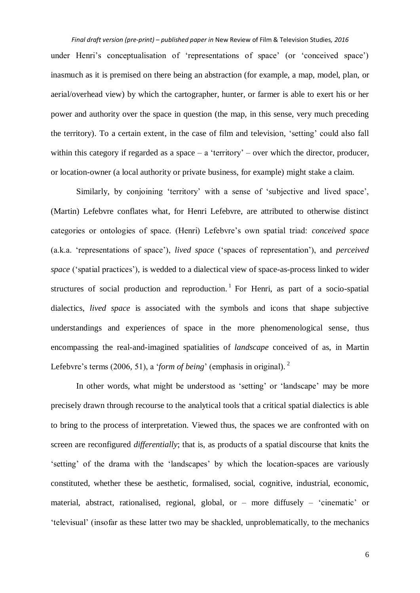under Henri's conceptualisation of 'representations of space' (or 'conceived space') inasmuch as it is premised on there being an abstraction (for example, a map, model, plan, or aerial/overhead view) by which the cartographer, hunter, or farmer is able to exert his or her power and authority over the space in question (the map, in this sense, very much preceding the territory). To a certain extent, in the case of film and television, 'setting' could also fall within this category if regarded as a space – a 'territory' – over which the director, producer, or location-owner (a local authority or private business, for example) might stake a claim.

Similarly, by conjoining 'territory' with a sense of 'subjective and lived space', (Martin) Lefebvre conflates what, for Henri Lefebvre, are attributed to otherwise distinct categories or ontologies of space. (Henri) Lefebvre's own spatial triad: *conceived space* (a.k.a. 'representations of space'), *lived space* ('spaces of representation'), and *perceived space* ('spatial practices'), is wedded to a dialectical view of space-as-process linked to wider structures of social production and reproduction.<sup>1</sup> For Henri, as part of a socio-spatial dialectics, *lived space* is associated with the symbols and icons that shape subjective understandings and experiences of space in the more phenomenological sense, thus encompassing the real-and-imagined spatialities of *landscape* conceived of as, in Martin Lefebvre's terms (2006, 51), a '*form of being*' (emphasis in original).<sup>2</sup>

In other words, what might be understood as 'setting' or 'landscape' may be more precisely drawn through recourse to the analytical tools that a critical spatial dialectics is able to bring to the process of interpretation. Viewed thus, the spaces we are confronted with on screen are reconfigured *differentially*; that is, as products of a spatial discourse that knits the 'setting' of the drama with the 'landscapes' by which the location-spaces are variously constituted, whether these be aesthetic, formalised, social, cognitive, industrial, economic, material, abstract, rationalised, regional, global, or – more diffusely – 'cinematic' or 'televisual' (insofar as these latter two may be shackled, unproblematically, to the mechanics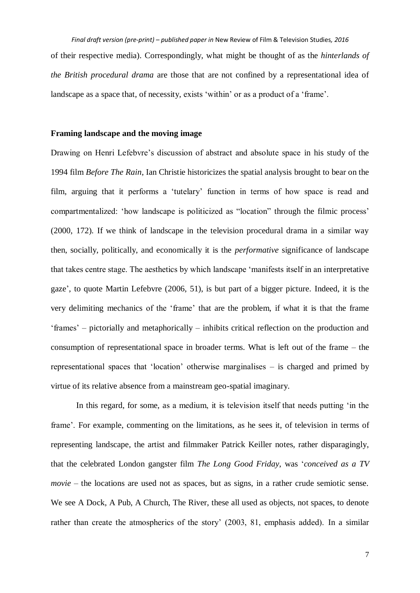*Final draft version (pre-print) – published paper in* New Review of Film & Television Studies*, 2016* of their respective media). Correspondingly, what might be thought of as the *hinterlands of the British procedural drama* are those that are not confined by a representational idea of landscape as a space that, of necessity, exists 'within' or as a product of a 'frame'.

## **Framing landscape and the moving image**

Drawing on Henri Lefebvre's discussion of abstract and absolute space in his study of the 1994 film *Before The Rain*, Ian Christie historicizes the spatial analysis brought to bear on the film, arguing that it performs a 'tutelary' function in terms of how space is read and compartmentalized: 'how landscape is politicized as "location" through the filmic process' (2000, 172). If we think of landscape in the television procedural drama in a similar way then, socially, politically, and economically it is the *performative* significance of landscape that takes centre stage. The aesthetics by which landscape 'manifests itself in an interpretative gaze', to quote Martin Lefebvre (2006, 51), is but part of a bigger picture. Indeed, it is the very delimiting mechanics of the 'frame' that are the problem, if what it is that the frame 'frames' – pictorially and metaphorically – inhibits critical reflection on the production and consumption of representational space in broader terms. What is left out of the frame – the representational spaces that 'location' otherwise marginalises – is charged and primed by virtue of its relative absence from a mainstream geo-spatial imaginary.

In this regard, for some, as a medium, it is television itself that needs putting 'in the frame'. For example, commenting on the limitations, as he sees it, of television in terms of representing landscape, the artist and filmmaker Patrick Keiller notes, rather disparagingly, that the celebrated London gangster film *The Long Good Friday*, was '*conceived as a TV movie* – the locations are used not as spaces, but as signs, in a rather crude semiotic sense. We see A Dock, A Pub, A Church, The River, these all used as objects, not spaces, to denote rather than create the atmospherics of the story' (2003, 81, emphasis added). In a similar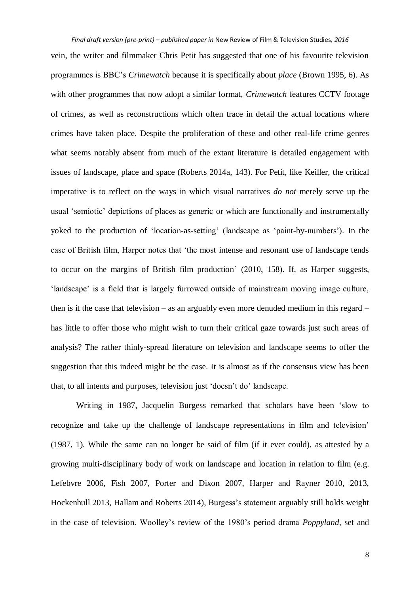*Final draft version (pre-print) – published paper in* New Review of Film & Television Studies*, 2016* vein, the writer and filmmaker Chris Petit has suggested that one of his favourite television programmes is BBC's *Crimewatch* because it is specifically about *place* (Brown 1995, 6). As with other programmes that now adopt a similar format, *Crimewatch* features CCTV footage of crimes, as well as reconstructions which often trace in detail the actual locations where crimes have taken place. Despite the proliferation of these and other real-life crime genres what seems notably absent from much of the extant literature is detailed engagement with issues of landscape, place and space (Roberts 2014a, 143). For Petit, like Keiller, the critical imperative is to reflect on the ways in which visual narratives *do not* merely serve up the usual 'semiotic' depictions of places as generic or which are functionally and instrumentally yoked to the production of 'location-as-setting' (landscape as 'paint-by-numbers'). In the case of British film, Harper notes that 'the most intense and resonant use of landscape tends to occur on the margins of British film production' (2010, 158). If, as Harper suggests, 'landscape' is a field that is largely furrowed outside of mainstream moving image culture, then is it the case that television – as an arguably even more denuded medium in this regard – has little to offer those who might wish to turn their critical gaze towards just such areas of analysis? The rather thinly-spread literature on television and landscape seems to offer the suggestion that this indeed might be the case. It is almost as if the consensus view has been that, to all intents and purposes, television just 'doesn't do' landscape.

Writing in 1987, Jacquelin Burgess remarked that scholars have been 'slow to recognize and take up the challenge of landscape representations in film and television' (1987, 1). While the same can no longer be said of film (if it ever could), as attested by a growing multi-disciplinary body of work on landscape and location in relation to film (e.g. Lefebvre 2006, Fish 2007, Porter and Dixon 2007, Harper and Rayner 2010, 2013, Hockenhull 2013, Hallam and Roberts 2014), Burgess's statement arguably still holds weight in the case of television. Woolley's review of the 1980's period drama *Poppyland*, set and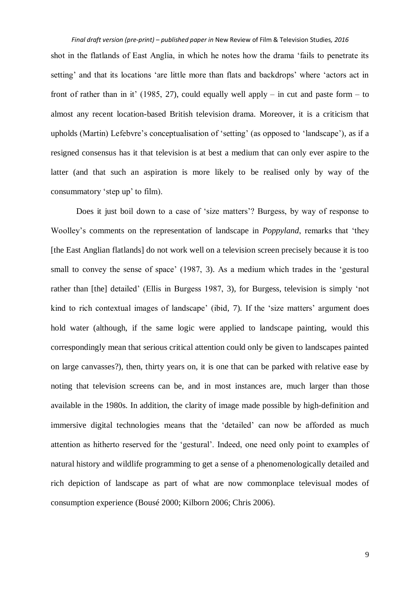shot in the flatlands of East Anglia, in which he notes how the drama 'fails to penetrate its setting' and that its locations 'are little more than flats and backdrops' where 'actors act in front of rather than in it' (1985, 27), could equally well apply – in cut and paste form – to almost any recent location-based British television drama. Moreover, it is a criticism that upholds (Martin) Lefebvre's conceptualisation of 'setting' (as opposed to 'landscape'), as if a resigned consensus has it that television is at best a medium that can only ever aspire to the latter (and that such an aspiration is more likely to be realised only by way of the consummatory 'step up' to film).

Does it just boil down to a case of 'size matters'? Burgess, by way of response to Woolley's comments on the representation of landscape in *Poppyland*, remarks that 'they [the East Anglian flatlands] do not work well on a television screen precisely because it is too small to convey the sense of space' (1987, 3). As a medium which trades in the 'gestural rather than [the] detailed' (Ellis in Burgess 1987, 3), for Burgess, television is simply 'not kind to rich contextual images of landscape' (ibid, 7). If the 'size matters' argument does hold water (although, if the same logic were applied to landscape painting, would this correspondingly mean that serious critical attention could only be given to landscapes painted on large canvasses?), then, thirty years on, it is one that can be parked with relative ease by noting that television screens can be, and in most instances are, much larger than those available in the 1980s. In addition, the clarity of image made possible by high-definition and immersive digital technologies means that the 'detailed' can now be afforded as much attention as hitherto reserved for the 'gestural'. Indeed, one need only point to examples of natural history and wildlife programming to get a sense of a phenomenologically detailed and rich depiction of landscape as part of what are now commonplace televisual modes of consumption experience (Bousé 2000; Kilborn 2006; Chris 2006).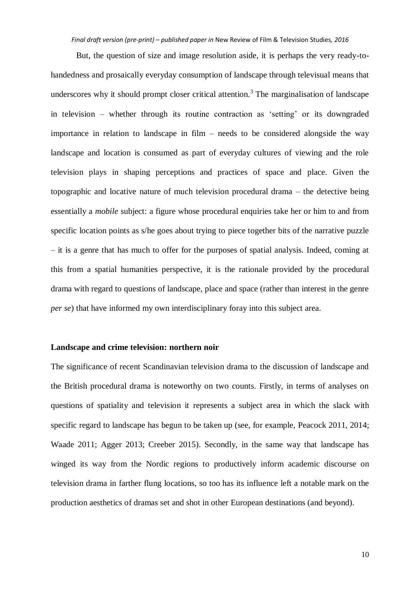But, the question of size and image resolution aside, it is perhaps the very ready-tohandedness and prosaically everyday consumption of landscape through televisual means that underscores why it should prompt closer critical attention.<sup>3</sup> The marginalisation of landscape in television – whether through its routine contraction as 'setting' or its downgraded importance in relation to landscape in film – needs to be considered alongside the way landscape and location is consumed as part of everyday cultures of viewing and the role television plays in shaping perceptions and practices of space and place. Given the topographic and locative nature of much television procedural drama – the detective being essentially a *mobile* subject: a figure whose procedural enquiries take her or him to and from specific location points as s/he goes about trying to piece together bits of the narrative puzzle – it is a genre that has much to offer for the purposes of spatial analysis. Indeed, coming at this from a spatial humanities perspective, it is the rationale provided by the procedural drama with regard to questions of landscape, place and space (rather than interest in the genre *per se*) that have informed my own interdisciplinary foray into this subject area.

## **Landscape and crime television: northern noir**

The significance of recent Scandinavian television drama to the discussion of landscape and the British procedural drama is noteworthy on two counts. Firstly, in terms of analyses on questions of spatiality and television it represents a subject area in which the slack with specific regard to landscape has begun to be taken up (see, for example, Peacock 2011, 2014; Waade 2011; Agger 2013; Creeber 2015). Secondly, in the same way that landscape has winged its way from the Nordic regions to productively inform academic discourse on television drama in farther flung locations, so too has its influence left a notable mark on the production aesthetics of dramas set and shot in other European destinations (and beyond).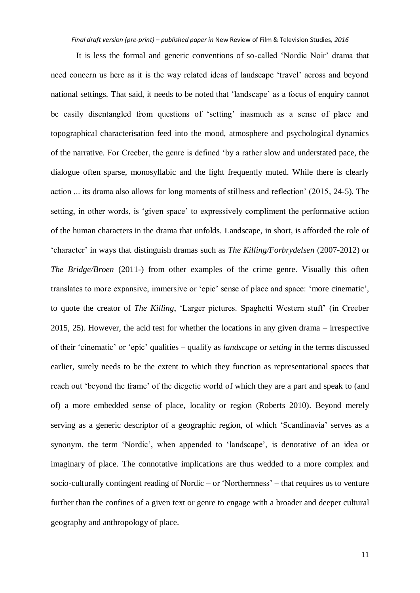It is less the formal and generic conventions of so-called 'Nordic Noir' drama that need concern us here as it is the way related ideas of landscape 'travel' across and beyond national settings. That said, it needs to be noted that 'landscape' as a focus of enquiry cannot be easily disentangled from questions of 'setting' inasmuch as a sense of place and topographical characterisation feed into the mood, atmosphere and psychological dynamics of the narrative. For Creeber, the genre is defined 'by a rather slow and understated pace, the dialogue often sparse, monosyllabic and the light frequently muted. While there is clearly action ... its drama also allows for long moments of stillness and reflection' (2015, 24-5). The setting, in other words, is 'given space' to expressively compliment the performative action of the human characters in the drama that unfolds. Landscape, in short, is afforded the role of 'character' in ways that distinguish dramas such as *The Killing/Forbrydelsen* (2007-2012) or *The Bridge/Broen* (2011-) from other examples of the crime genre. Visually this often translates to more expansive, immersive or 'epic' sense of place and space: 'more cinematic', to quote the creator of *The Killing*, 'Larger pictures. Spaghetti Western stuff' (in Creeber 2015, 25). However, the acid test for whether the locations in any given drama – irrespective of their 'cinematic' or 'epic' qualities – qualify as *landscape* or *setting* in the terms discussed earlier, surely needs to be the extent to which they function as representational spaces that reach out 'beyond the frame' of the diegetic world of which they are a part and speak to (and of) a more embedded sense of place, locality or region (Roberts 2010). Beyond merely serving as a generic descriptor of a geographic region, of which 'Scandinavia' serves as a synonym, the term 'Nordic', when appended to 'landscape', is denotative of an idea or imaginary of place. The connotative implications are thus wedded to a more complex and socio-culturally contingent reading of Nordic – or 'Northernness' – that requires us to venture further than the confines of a given text or genre to engage with a broader and deeper cultural geography and anthropology of place.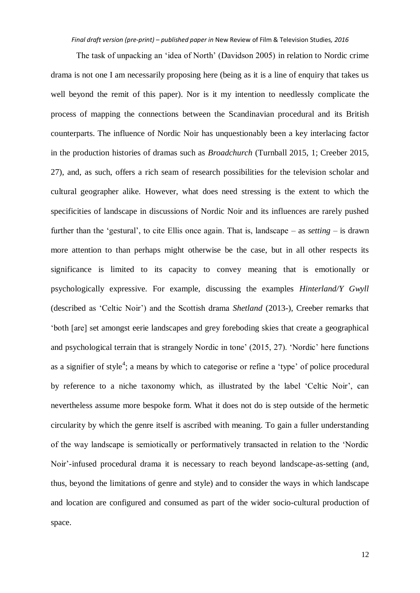The task of unpacking an 'idea of North' (Davidson 2005) in relation to Nordic crime drama is not one I am necessarily proposing here (being as it is a line of enquiry that takes us well beyond the remit of this paper). Nor is it my intention to needlessly complicate the process of mapping the connections between the Scandinavian procedural and its British counterparts. The influence of Nordic Noir has unquestionably been a key interlacing factor in the production histories of dramas such as *Broadchurch* (Turnball 2015, 1; Creeber 2015, 27), and, as such, offers a rich seam of research possibilities for the television scholar and cultural geographer alike. However, what does need stressing is the extent to which the specificities of landscape in discussions of Nordic Noir and its influences are rarely pushed further than the 'gestural', to cite Ellis once again. That is, landscape – as *setting* – is drawn more attention to than perhaps might otherwise be the case, but in all other respects its significance is limited to its capacity to convey meaning that is emotionally or psychologically expressive. For example, discussing the examples *Hinterland/Y Gwyll* (described as 'Celtic Noir') and the Scottish drama *Shetland* (2013-), Creeber remarks that 'both [are] set amongst eerie landscapes and grey foreboding skies that create a geographical and psychological terrain that is strangely Nordic in tone' (2015, 27). 'Nordic' here functions as a signifier of style<sup>4</sup>; a means by which to categorise or refine a 'type' of police procedural by reference to a niche taxonomy which, as illustrated by the label 'Celtic Noir', can nevertheless assume more bespoke form. What it does not do is step outside of the hermetic circularity by which the genre itself is ascribed with meaning. To gain a fuller understanding of the way landscape is semiotically or performatively transacted in relation to the 'Nordic Noir'-infused procedural drama it is necessary to reach beyond landscape-as-setting (and, thus, beyond the limitations of genre and style) and to consider the ways in which landscape and location are configured and consumed as part of the wider socio-cultural production of space.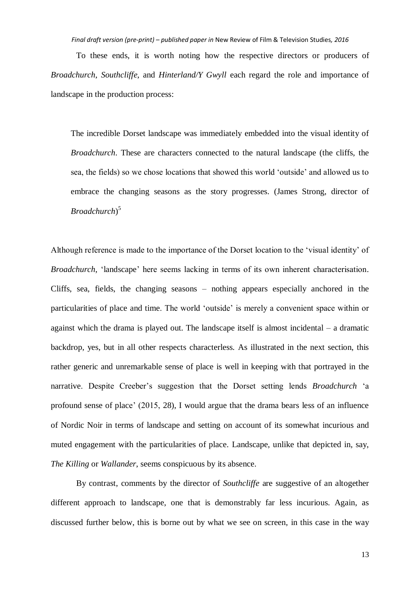To these ends, it is worth noting how the respective directors or producers of *Broadchurch*, *Southcliffe*, and *Hinterland/Y Gwyll* each regard the role and importance of landscape in the production process:

The incredible Dorset landscape was immediately embedded into the visual identity of *Broadchurch*. These are characters connected to the natural landscape (the cliffs, the sea, the fields) so we chose locations that showed this world 'outside' and allowed us to embrace the changing seasons as the story progresses. (James Strong, director of *Broadchurch*) 5

Although reference is made to the importance of the Dorset location to the 'visual identity' of *Broadchurch*, 'landscape' here seems lacking in terms of its own inherent characterisation. Cliffs, sea, fields, the changing seasons – nothing appears especially anchored in the particularities of place and time. The world 'outside' is merely a convenient space within or against which the drama is played out. The landscape itself is almost incidental – a dramatic backdrop, yes, but in all other respects characterless*.* As illustrated in the next section, this rather generic and unremarkable sense of place is well in keeping with that portrayed in the narrative. Despite Creeber's suggestion that the Dorset setting lends *Broadchurch* 'a profound sense of place' (2015, 28), I would argue that the drama bears less of an influence of Nordic Noir in terms of landscape and setting on account of its somewhat incurious and muted engagement with the particularities of place. Landscape, unlike that depicted in, say, *The Killing* or *Wallander*, seems conspicuous by its absence.

By contrast, comments by the director of *Southcliffe* are suggestive of an altogether different approach to landscape, one that is demonstrably far less incurious. Again, as discussed further below, this is borne out by what we see on screen, in this case in the way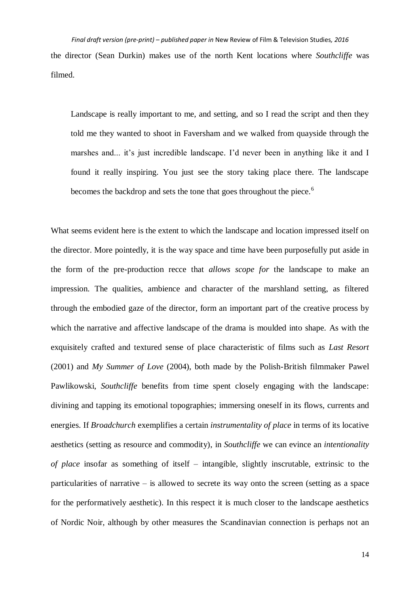*Final draft version (pre-print) – published paper in* New Review of Film & Television Studies*, 2016* the director (Sean Durkin) makes use of the north Kent locations where *Southcliffe* was filmed.

Landscape is really important to me, and setting, and so I read the script and then they told me they wanted to shoot in Faversham and we walked from quayside through the marshes and... it's just incredible landscape. I'd never been in anything like it and I found it really inspiring. You just see the story taking place there. The landscape becomes the backdrop and sets the tone that goes throughout the piece.<sup>6</sup>

What seems evident here is the extent to which the landscape and location impressed itself on the director. More pointedly, it is the way space and time have been purposefully put aside in the form of the pre-production recce that *allows scope for* the landscape to make an impression. The qualities, ambience and character of the marshland setting, as filtered through the embodied gaze of the director, form an important part of the creative process by which the narrative and affective landscape of the drama is moulded into shape. As with the exquisitely crafted and textured sense of place characteristic of films such as *Last Resort* (2001) and *My Summer of Love* (2004), both made by the Polish-British filmmaker Pawel Pawlikowski, *Southcliffe* benefits from time spent closely engaging with the landscape: divining and tapping its emotional topographies; immersing oneself in its flows, currents and energies. If *Broadchurch* exemplifies a certain *instrumentality of place* in terms of its locative aesthetics (setting as resource and commodity), in *Southcliffe* we can evince an *intentionality of place* insofar as something of itself – intangible, slightly inscrutable, extrinsic to the particularities of narrative – is allowed to secrete its way onto the screen (setting as a space for the performatively aesthetic). In this respect it is much closer to the landscape aesthetics of Nordic Noir, although by other measures the Scandinavian connection is perhaps not an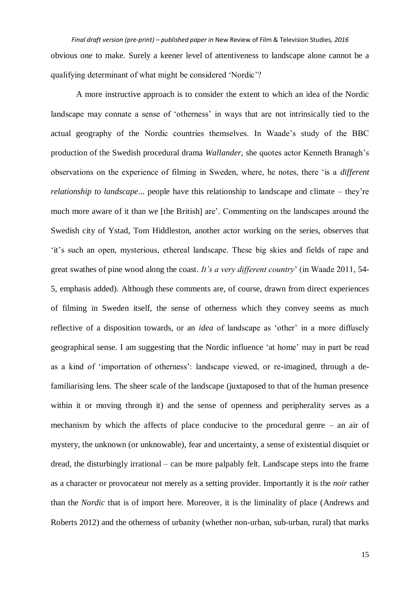*Final draft version (pre-print) – published paper in* New Review of Film & Television Studies*, 2016* obvious one to make. Surely a keener level of attentiveness to landscape alone cannot be a qualifying determinant of what might be considered 'Nordic'?

A more instructive approach is to consider the extent to which an idea of the Nordic landscape may connate a sense of 'otherness' in ways that are not intrinsically tied to the actual geography of the Nordic countries themselves. In Waade's study of the BBC production of the Swedish procedural drama *Wallander*, she quotes actor Kenneth Branagh's observations on the experience of filming in Sweden, where, he notes, there 'is a *different relationship to landscape*... people have this relationship to landscape and climate – they're much more aware of it than we [the British] are'. Commenting on the landscapes around the Swedish city of Ystad, Tom Hiddleston, another actor working on the series, observes that 'it's such an open, mysterious, ethereal landscape. These big skies and fields of rape and great swathes of pine wood along the coast. *It's a very different country*' (in Waade 2011, 54- 5, emphasis added). Although these comments are, of course, drawn from direct experiences of filming in Sweden itself, the sense of otherness which they convey seems as much reflective of a disposition towards, or an *idea* of landscape as 'other' in a more diffusely geographical sense. I am suggesting that the Nordic influence 'at home' may in part be read as a kind of 'importation of otherness': landscape viewed, or re-imagined, through a defamiliarising lens. The sheer scale of the landscape (juxtaposed to that of the human presence within it or moving through it) and the sense of openness and peripherality serves as a mechanism by which the affects of place conducive to the procedural genre – an air of mystery, the unknown (or unknowable), fear and uncertainty, a sense of existential disquiet or dread, the disturbingly irrational – can be more palpably felt. Landscape steps into the frame as a character or provocateur not merely as a setting provider. Importantly it is the *noir* rather than the *Nordic* that is of import here. Moreover, it is the liminality of place (Andrews and Roberts 2012) and the otherness of urbanity (whether non-urban, sub-urban, rural) that marks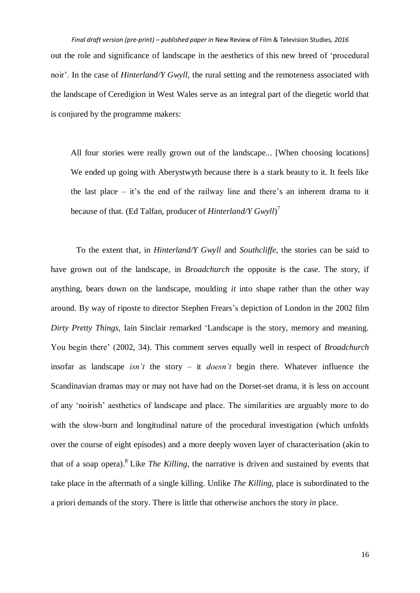*Final draft version (pre-print) – published paper in* New Review of Film & Television Studies*, 2016* out the role and significance of landscape in the aesthetics of this new breed of 'procedural noir'. In the case of *Hinterland/Y Gwyll*, the rural setting and the remoteness associated with the landscape of Ceredigion in West Wales serve as an integral part of the diegetic world that is conjured by the programme makers:

All four stories were really grown out of the landscape... [When choosing locations] We ended up going with Aberystwyth because there is a stark beauty to it. It feels like the last place – it's the end of the railway line and there's an inherent drama to it because of that. (Ed Talfan, producer of *Hinterland/Y Gwyll*)<sup>7</sup>

To the extent that, in *Hinterland/Y Gwyll* and *Southcliffe*, the stories can be said to have grown out of the landscape, in *Broadchurch* the opposite is the case. The story, if anything, bears down on the landscape, moulding *it* into shape rather than the other way around. By way of riposte to director Stephen Frears's depiction of London in the 2002 film *Dirty Pretty Things*, Iain Sinclair remarked 'Landscape is the story, memory and meaning. You begin there' (2002, 34). This comment serves equally well in respect of *Broadchurch* insofar as landscape *isn't* the story – it *doesn't* begin there. Whatever influence the Scandinavian dramas may or may not have had on the Dorset-set drama, it is less on account of any 'noirish' aesthetics of landscape and place. The similarities are arguably more to do with the slow-burn and longitudinal nature of the procedural investigation (which unfolds over the course of eight episodes) and a more deeply woven layer of characterisation (akin to that of a soap opera). 8 Like *The Killing*, the narrative is driven and sustained by events that take place in the aftermath of a single killing. Unlike *The Killing*, place is subordinated to the a priori demands of the story. There is little that otherwise anchors the story *in* place.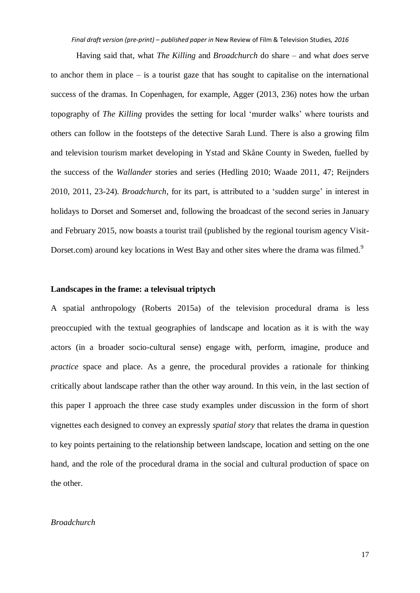Having said that, what *The Killing* and *Broadchurch* do share – and what *does* serve to anchor them in place – is a tourist gaze that has sought to capitalise on the international success of the dramas. In Copenhagen, for example, Agger (2013, 236) notes how the urban topography of *The Killing* provides the setting for local 'murder walks' where tourists and others can follow in the footsteps of the detective Sarah Lund. There is also a growing film and television tourism market developing in Ystad and Skåne County in Sweden, fuelled by the success of the *Wallander* stories and series (Hedling 2010; Waade 2011, 47; Reijnders 2010, 2011, 23-24). *Broadchurch*, for its part, is attributed to a 'sudden surge' in interest in holidays to Dorset and Somerset and, following the broadcast of the second series in January and February 2015, now boasts a tourist trail (published by the regional tourism agency Visit-Dorset.com) around key locations in West Bay and other sites where the drama was filmed.<sup>9</sup>

# **Landscapes in the frame: a televisual triptych**

A spatial anthropology (Roberts 2015a) of the television procedural drama is less preoccupied with the textual geographies of landscape and location as it is with the way actors (in a broader socio-cultural sense) engage with, perform, imagine, produce and *practice* space and place. As a genre, the procedural provides a rationale for thinking critically about landscape rather than the other way around. In this vein, in the last section of this paper I approach the three case study examples under discussion in the form of short vignettes each designed to convey an expressly *spatial story* that relates the drama in question to key points pertaining to the relationship between landscape, location and setting on the one hand, and the role of the procedural drama in the social and cultural production of space on the other.

## *Broadchurch*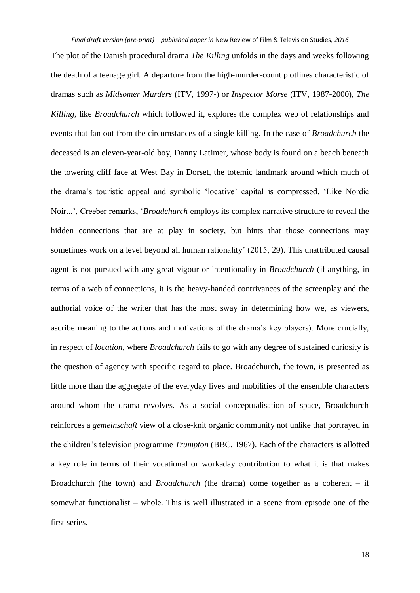The plot of the Danish procedural drama *The Killing* unfolds in the days and weeks following the death of a teenage girl. A departure from the high-murder-count plotlines characteristic of dramas such as *Midsomer Murders* (ITV, 1997-) or *Inspector Morse* (ITV, 1987-2000), *The Killing*, like *Broadchurch* which followed it, explores the complex web of relationships and events that fan out from the circumstances of a single killing. In the case of *Broadchurch* the deceased is an eleven-year-old boy, Danny Latimer, whose body is found on a beach beneath the towering cliff face at West Bay in Dorset, the totemic landmark around which much of the drama's touristic appeal and symbolic 'locative' capital is compressed. 'Like Nordic Noir...', Creeber remarks, '*Broadchurch* employs its complex narrative structure to reveal the hidden connections that are at play in society, but hints that those connections may sometimes work on a level beyond all human rationality' (2015, 29). This unattributed causal agent is not pursued with any great vigour or intentionality in *Broadchurch* (if anything, in terms of a web of connections, it is the heavy-handed contrivances of the screenplay and the authorial voice of the writer that has the most sway in determining how we, as viewers, ascribe meaning to the actions and motivations of the drama's key players). More crucially, in respect of *location*, where *Broadchurch* fails to go with any degree of sustained curiosity is the question of agency with specific regard to place. Broadchurch, the town, is presented as little more than the aggregate of the everyday lives and mobilities of the ensemble characters around whom the drama revolves. As a social conceptualisation of space, Broadchurch reinforces a *gemeinschaft* view of a close-knit organic community not unlike that portrayed in the children's television programme *Trumpton* (BBC, 1967). Each of the characters is allotted a key role in terms of their vocational or workaday contribution to what it is that makes Broadchurch (the town) and *Broadchurch* (the drama) come together as a coherent – if somewhat functionalist – whole. This is well illustrated in a scene from episode one of the first series.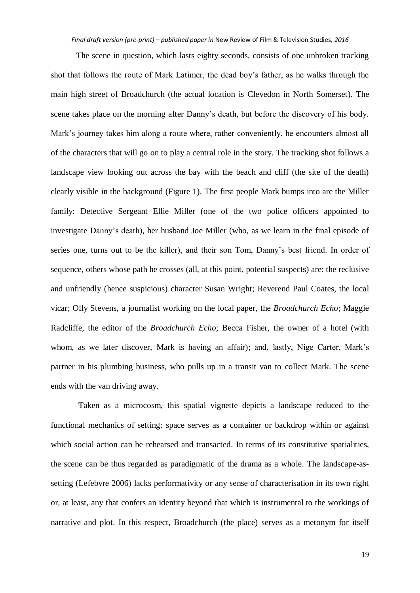The scene in question, which lasts eighty seconds, consists of one unbroken tracking shot that follows the route of Mark Latimer, the dead boy's father, as he walks through the main high street of Broadchurch (the actual location is Clevedon in North Somerset). The scene takes place on the morning after Danny's death, but before the discovery of his body. Mark's journey takes him along a route where, rather conveniently, he encounters almost all of the characters that will go on to play a central role in the story. The tracking shot follows a landscape view looking out across the bay with the beach and cliff (the site of the death) clearly visible in the background (Figure 1). The first people Mark bumps into are the Miller family: Detective Sergeant Ellie Miller (one of the two police officers appointed to investigate Danny's death), her husband Joe Miller (who, as we learn in the final episode of series one, turns out to be the killer), and their son Tom, Danny's best friend. In order of sequence, others whose path he crosses (all, at this point, potential suspects) are: the reclusive and unfriendly (hence suspicious) character Susan Wright; Reverend Paul Coates, the local vicar; Olly Stevens, a journalist working on the local paper, the *Broadchurch Echo*; Maggie Radcliffe, the editor of the *Broadchurch Echo*; Becca Fisher, the owner of a hotel (with whom, as we later discover, Mark is having an affair); and, lastly, Nige Carter, Mark's partner in his plumbing business, who pulls up in a transit van to collect Mark. The scene ends with the van driving away.

Taken as a microcosm, this spatial vignette depicts a landscape reduced to the functional mechanics of setting: space serves as a container or backdrop within or against which social action can be rehearsed and transacted. In terms of its constitutive spatialities, the scene can be thus regarded as paradigmatic of the drama as a whole. The landscape-assetting (Lefebvre 2006) lacks performativity or any sense of characterisation in its own right or, at least, any that confers an identity beyond that which is instrumental to the workings of narrative and plot. In this respect, Broadchurch (the place) serves as a metonym for itself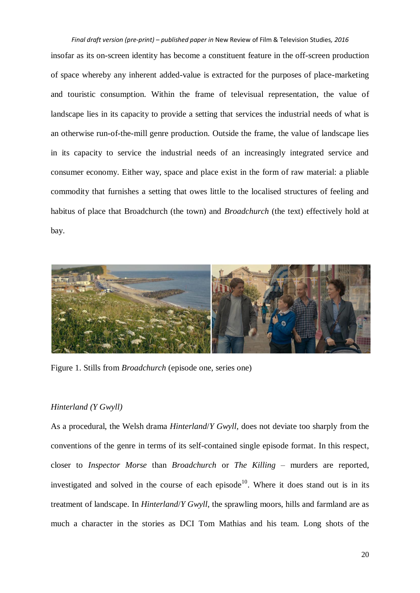*Final draft version (pre-print) – published paper in* New Review of Film & Television Studies*, 2016* insofar as its on-screen identity has become a constituent feature in the off-screen production of space whereby any inherent added-value is extracted for the purposes of place-marketing and touristic consumption. Within the frame of televisual representation, the value of landscape lies in its capacity to provide a setting that services the industrial needs of what is an otherwise run-of-the-mill genre production. Outside the frame, the value of landscape lies in its capacity to service the industrial needs of an increasingly integrated service and consumer economy. Either way, space and place exist in the form of raw material: a pliable commodity that furnishes a setting that owes little to the localised structures of feeling and habitus of place that Broadchurch (the town) and *Broadchurch* (the text) effectively hold at bay.



Figure 1. Stills from *Broadchurch* (episode one, series one)

# *Hinterland (Y Gwyll)*

As a procedural, the Welsh drama *Hinterland*/*Y Gwyll*, does not deviate too sharply from the conventions of the genre in terms of its self-contained single episode format. In this respect, closer to *Inspector Morse* than *Broadchurch* or *The Killing* – murders are reported, investigated and solved in the course of each episode<sup>10</sup>. Where it does stand out is in its treatment of landscape. In *Hinterland*/*Y Gwyll*, the sprawling moors, hills and farmland are as much a character in the stories as DCI Tom Mathias and his team. Long shots of the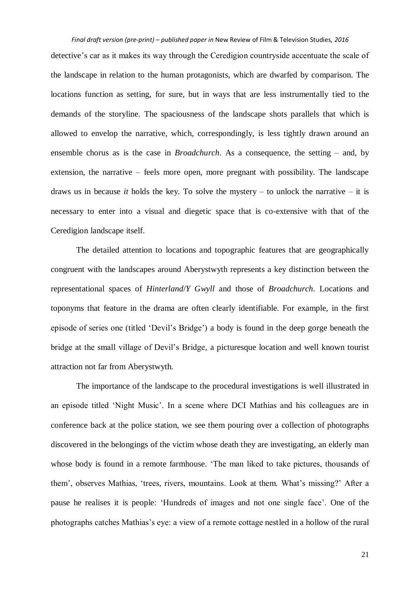detective's car as it makes its way through the Ceredigion countryside accentuate the scale of the landscape in relation to the human protagonists, which are dwarfed by comparison. The locations function as setting, for sure, but in ways that are less instrumentally tied to the demands of the storyline. The spaciousness of the landscape shots parallels that which is allowed to envelop the narrative, which, correspondingly, is less tightly drawn around an ensemble chorus as is the case in *Broadchurch*. As a consequence, the setting – and, by extension, the narrative – feels more open, more pregnant with possibility. The landscape draws us in because *it* holds the key. To solve the mystery – to unlock the narrative – it is necessary to enter into a visual and diegetic space that is co-extensive with that of the Ceredigion landscape itself.

The detailed attention to locations and topographic features that are geographically congruent with the landscapes around Aberystwyth represents a key distinction between the representational spaces of *Hinterland*/*Y Gwyll* and those of *Broadchurch*. Locations and toponyms that feature in the drama are often clearly identifiable. For example, in the first episode of series one (titled 'Devil's Bridge') a body is found in the deep gorge beneath the bridge at the small village of Devil's Bridge, a picturesque location and well known tourist attraction not far from Aberystwyth.

The importance of the landscape to the procedural investigations is well illustrated in an episode titled 'Night Music'. In a scene where DCI Mathias and his colleagues are in conference back at the police station, we see them pouring over a collection of photographs discovered in the belongings of the victim whose death they are investigating, an elderly man whose body is found in a remote farmhouse. 'The man liked to take pictures, thousands of them', observes Mathias, 'trees, rivers, mountains. Look at them. What's missing?' After a pause he realises it is people: 'Hundreds of images and not one single face'. One of the photographs catches Mathias's eye: a view of a remote cottage nestled in a hollow of the rural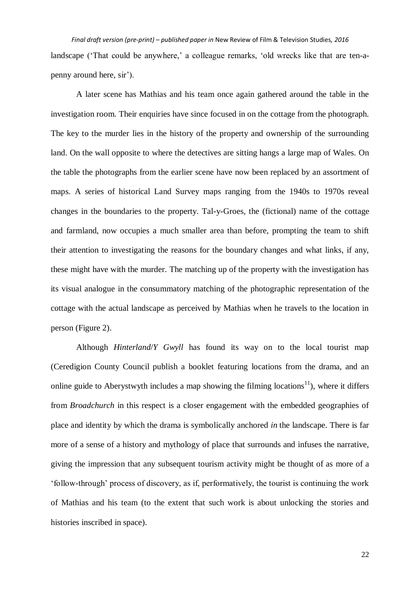*Final draft version (pre-print) – published paper in* New Review of Film & Television Studies*, 2016* landscape ('That could be anywhere,' a colleague remarks, 'old wrecks like that are ten-apenny around here, sir').

A later scene has Mathias and his team once again gathered around the table in the investigation room. Their enquiries have since focused in on the cottage from the photograph. The key to the murder lies in the history of the property and ownership of the surrounding land. On the wall opposite to where the detectives are sitting hangs a large map of Wales. On the table the photographs from the earlier scene have now been replaced by an assortment of maps. A series of historical Land Survey maps ranging from the 1940s to 1970s reveal changes in the boundaries to the property. Tal-y-Groes, the (fictional) name of the cottage and farmland, now occupies a much smaller area than before, prompting the team to shift their attention to investigating the reasons for the boundary changes and what links, if any, these might have with the murder. The matching up of the property with the investigation has its visual analogue in the consummatory matching of the photographic representation of the cottage with the actual landscape as perceived by Mathias when he travels to the location in person (Figure 2).

Although *Hinterland*/*Y Gwyll* has found its way on to the local tourist map (Ceredigion County Council publish a booklet featuring locations from the drama, and an online guide to Aberystwyth includes a map showing the filming locations<sup>11</sup>), where it differs from *Broadchurch* in this respect is a closer engagement with the embedded geographies of place and identity by which the drama is symbolically anchored *in* the landscape. There is far more of a sense of a history and mythology of place that surrounds and infuses the narrative, giving the impression that any subsequent tourism activity might be thought of as more of a 'follow-through' process of discovery, as if, performatively, the tourist is continuing the work of Mathias and his team (to the extent that such work is about unlocking the stories and histories inscribed in space).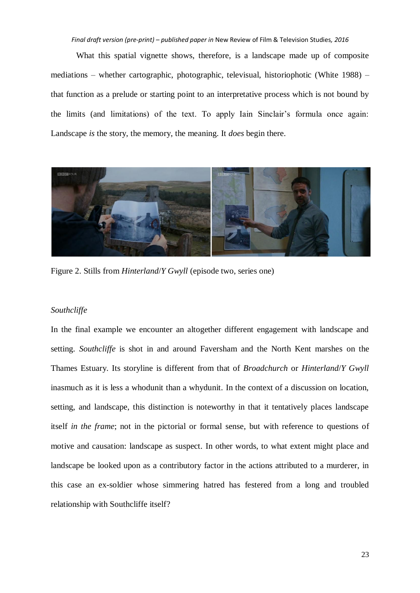What this spatial vignette shows, therefore, is a landscape made up of composite mediations – whether cartographic, photographic, televisual, historiophotic (White 1988) – that function as a prelude or starting point to an interpretative process which is not bound by the limits (and limitations) of the text. To apply Iain Sinclair's formula once again: Landscape *is* the story, the memory, the meaning. It *does* begin there.



Figure 2. Stills from *Hinterland*/*Y Gwyll* (episode two, series one)

## *Southcliffe*

In the final example we encounter an altogether different engagement with landscape and setting. *Southcliffe* is shot in and around Faversham and the North Kent marshes on the Thames Estuary. Its storyline is different from that of *Broadchurch* or *Hinterland*/*Y Gwyll* inasmuch as it is less a whodunit than a whydunit. In the context of a discussion on location, setting, and landscape, this distinction is noteworthy in that it tentatively places landscape itself *in the frame*; not in the pictorial or formal sense, but with reference to questions of motive and causation: landscape as suspect. In other words, to what extent might place and landscape be looked upon as a contributory factor in the actions attributed to a murderer, in this case an ex-soldier whose simmering hatred has festered from a long and troubled relationship with Southcliffe itself?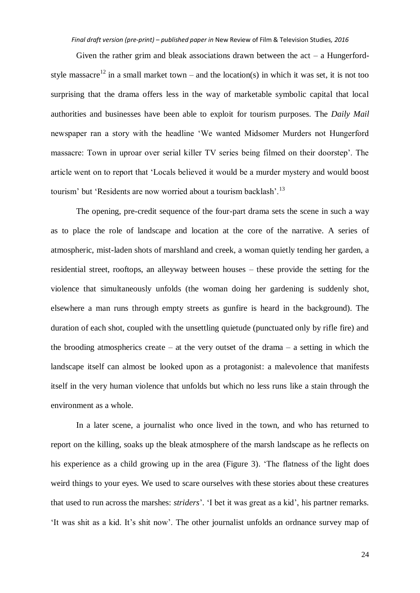Given the rather grim and bleak associations drawn between the  $act - a$  Hungerfordstyle massacre<sup>12</sup> in a small market town – and the location(s) in which it was set, it is not too surprising that the drama offers less in the way of marketable symbolic capital that local authorities and businesses have been able to exploit for tourism purposes. The *Daily Mail* newspaper ran a story with the headline 'We wanted Midsomer Murders not Hungerford massacre: Town in uproar over serial killer TV series being filmed on their doorstep'. The article went on to report that 'Locals believed it would be a murder mystery and would boost tourism' but 'Residents are now worried about a tourism backlash'.<sup>13</sup>

The opening, pre-credit sequence of the four-part drama sets the scene in such a way as to place the role of landscape and location at the core of the narrative. A series of atmospheric, mist-laden shots of marshland and creek, a woman quietly tending her garden, a residential street, rooftops, an alleyway between houses – these provide the setting for the violence that simultaneously unfolds (the woman doing her gardening is suddenly shot, elsewhere a man runs through empty streets as gunfire is heard in the background). The duration of each shot, coupled with the unsettling quietude (punctuated only by rifle fire) and the brooding atmospherics create – at the very outset of the drama – a setting in which the landscape itself can almost be looked upon as a protagonist: a malevolence that manifests itself in the very human violence that unfolds but which no less runs like a stain through the environment as a whole.

In a later scene, a journalist who once lived in the town, and who has returned to report on the killing, soaks up the bleak atmosphere of the marsh landscape as he reflects on his experience as a child growing up in the area (Figure 3). 'The flatness of the light does weird things to your eyes. We used to scare ourselves with these stories about these creatures that used to run across the marshes: *striders*'. 'I bet it was great as a kid', his partner remarks. 'It was shit as a kid. It's shit now'. The other journalist unfolds an ordnance survey map of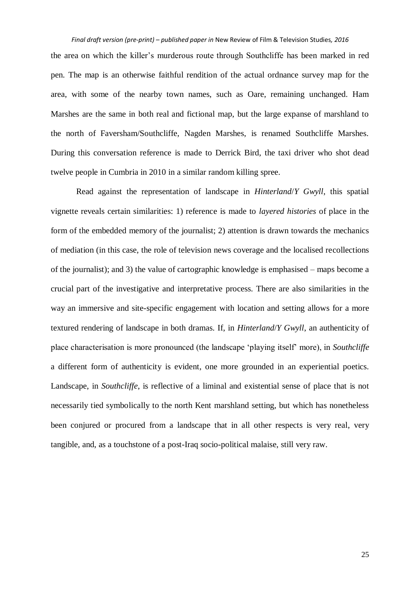the area on which the killer's murderous route through Southcliffe has been marked in red pen. The map is an otherwise faithful rendition of the actual ordnance survey map for the area, with some of the nearby town names, such as Oare, remaining unchanged. Ham Marshes are the same in both real and fictional map, but the large expanse of marshland to the north of Faversham/Southcliffe, Nagden Marshes, is renamed Southcliffe Marshes. During this conversation reference is made to Derrick Bird, the taxi driver who shot dead twelve people in Cumbria in 2010 in a similar random killing spree.

Read against the representation of landscape in *Hinterland*/*Y Gwyll*, this spatial vignette reveals certain similarities: 1) reference is made to *layered histories* of place in the form of the embedded memory of the journalist; 2) attention is drawn towards the mechanics of mediation (in this case, the role of television news coverage and the localised recollections of the journalist); and 3) the value of cartographic knowledge is emphasised – maps become a crucial part of the investigative and interpretative process. There are also similarities in the way an immersive and site-specific engagement with location and setting allows for a more textured rendering of landscape in both dramas. If, in *Hinterland*/*Y Gwyll*, an authenticity of place characterisation is more pronounced (the landscape 'playing itself' more), in *Southcliffe* a different form of authenticity is evident, one more grounded in an experiential poetics. Landscape, in *Southcliffe*, is reflective of a liminal and existential sense of place that is not necessarily tied symbolically to the north Kent marshland setting, but which has nonetheless been conjured or procured from a landscape that in all other respects is very real, very tangible, and, as a touchstone of a post-Iraq socio-political malaise, still very raw.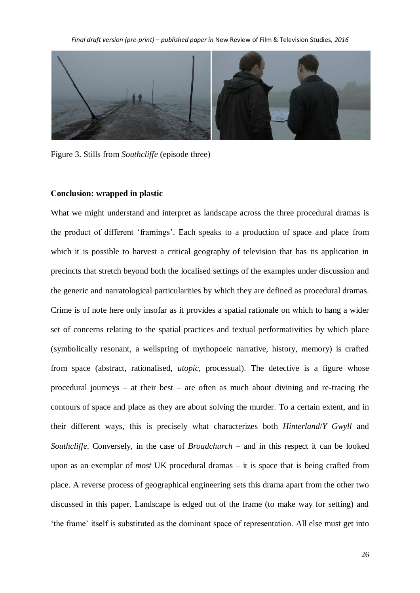

Figure 3. Stills from *Southcliffe* (episode three)

#### **Conclusion: wrapped in plastic**

What we might understand and interpret as landscape across the three procedural dramas is the product of different 'framings'. Each speaks to a production of space and place from which it is possible to harvest a critical geography of television that has its application in precincts that stretch beyond both the localised settings of the examples under discussion and the generic and narratological particularities by which they are defined as procedural dramas. Crime is of note here only insofar as it provides a spatial rationale on which to hang a wider set of concerns relating to the spatial practices and textual performativities by which place (symbolically resonant, a wellspring of mythopoeic narrative, history, memory) is crafted from space (abstract, rationalised, *utopic*, processual). The detective is a figure whose procedural journeys – at their best – are often as much about divining and re-tracing the contours of space and place as they are about solving the murder. To a certain extent, and in their different ways, this is precisely what characterizes both *Hinterland*/*Y Gwyll* and *Southcliffe*. Conversely, in the case of *Broadchurch* – and in this respect it can be looked upon as an exemplar of *most* UK procedural dramas – it is space that is being crafted from place. A reverse process of geographical engineering sets this drama apart from the other two discussed in this paper. Landscape is edged out of the frame (to make way for setting) and 'the frame' itself is substituted as the dominant space of representation. All else must get into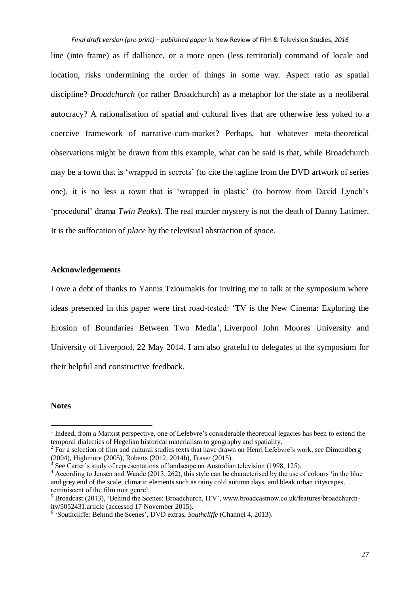*Final draft version (pre-print) – published paper in* New Review of Film & Television Studies*, 2016* line (into frame) as if dalliance, or a more open (less territorial) command of locale and location, risks undermining the order of things in some way. Aspect ratio as spatial discipline? *Broadchurch* (or rather Broadchurch) as a metaphor for the state as a neoliberal autocracy? A rationalisation of spatial and cultural lives that are otherwise less yoked to a coercive framework of narrative-cum-market? Perhaps, but whatever meta-theoretical observations might be drawn from this example, what can be said is that, while Broadchurch may be a town that is 'wrapped in secrets' (to cite the tagline from the DVD artwork of series one), it is no less a town that is 'wrapped in plastic' (to borrow from David Lynch's 'procedural' drama *Twin Peaks*). The real murder mystery is not the death of Danny Latimer. It is the suffocation of *place* by the televisual abstraction of *space*.

# **Acknowledgements**

I owe a debt of thanks to Yannis Tzioumakis for inviting me to talk at the symposium where ideas presented in this paper were first road-tested: 'TV is the New Cinema: Exploring the Erosion of Boundaries Between Two Media', Liverpool John Moores University and University of Liverpool, 22 May 2014. I am also grateful to delegates at the symposium for their helpful and constructive feedback.

## **Notes**

1

<sup>1</sup> Indeed, from a Marxist perspective, one of Lefebvre's considerable theoretical legacies has been to extend the temporal dialectics of Hegelian historical materialism to geography and spatiality.

<sup>2</sup> For a selection of film and cultural studies texts that have drawn on Henri Lefebvre's work, see Dimendberg  $(2004)$ , Highmore  $(2005)$ , Roberts  $(2012, 2014b)$ , Fraser  $(2015)$ .<br>
<sup>3</sup> See Cartar's study of representations of landscape on Australia.

See Carter's study of representations of landscape on Australian television (1998, 125).

<sup>&</sup>lt;sup>4</sup> According to Jensen and Waade (2013, 262), this style can be characterised by the use of colours 'in the blue and grey end of the scale, climatic elements such as rainy cold autumn days, and bleak urban cityscapes, reminiscent of the film noir genre'.

<sup>&</sup>lt;sup>5</sup> Broadcast (2013), 'Behind the Scenes: Broadchurch, ITV', www.broadcastnow.co.uk/features/broadchurchitv/5052431.article (accessed 17 November 2015).

<sup>6</sup> 'Southcliffe: Behind the Scenes', DVD extras, *Southcliffe* (Channel 4, 2013).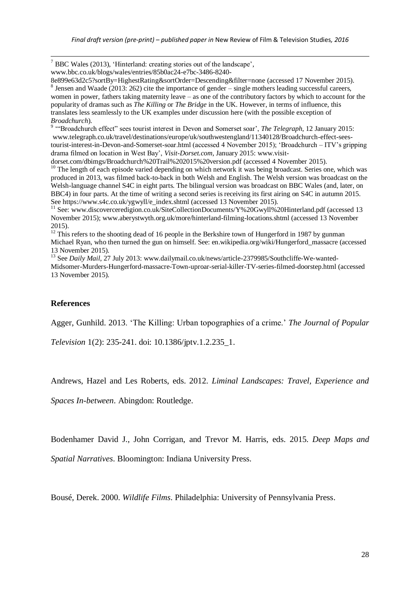<sup>7</sup> BBC Wales (2013), 'Hinterland: creating stories out of the landscape',

www.bbc.co.uk/blogs/wales/entries/85b0ac24-e7bc-3486-8240-

8e899e63d2c5?sortBy=HighestRating&sortOrder=Descending&filter=none (accessed 17 November 2015).  $8$  Jensen and Waade (2013: 262) cite the importance of gender – single mothers leading successful careers, women in power, fathers taking maternity leave – as one of the contributory factors by which to account for the popularity of dramas such as *The Killing* or *The Bridge* in the UK. However, in terms of influence, this translates less seamlessly to the UK examples under discussion here (with the possible exception of *Broadchurch*).

<sup>9</sup> "Broadchurch effect" sees tourist interest in Devon and Somerset soar', *The Telegraph*, 12 January 2015: www.telegraph.co.uk/travel/destinations/europe/uk/southwestengland/11340128/Broadchurch-effect-seestourist-interest-in-Devon-and-Somerset-soar.html (accessed 4 November 2015); 'Broadchurch – ITV's gripping drama filmed on location in West Bay', *Visit-Dorset.com*, January 2015: www.visit-

dorset.com/dbimgs/Broadchurch%20Trail%202015%20version.pdf (accessed 4 November 2015). <sup>10</sup> The length of each episode varied depending on which network it was being broadcast. Series one, which was produced in 2013, was filmed back-to-back in both Welsh and English. The Welsh version was broadcast on the Welsh-language channel S4C in eight parts. The bilingual version was broadcast on BBC Wales (and, later, on BBC4) in four parts. At the time of writing a second series is receiving its first airing on S4C in autumn 2015. See https://www.s4c.co.uk/ygwyll/e\_index.shtml (accessed 13 November 2015).

<sup>11</sup> See: www.discoverceredigion.co.uk/SiteCollectionDocuments/Y%20Gwyll%20Hinterland.pdf (accessed 13 November 2015); www.aberystwyth.org.uk/more/hinterland-filming-locations.shtml (accessed 13 November 2015).

<sup>12</sup> This refers to the shooting dead of 16 people in the Berkshire town of Hungerford in 1987 by gunman Michael Ryan, who then turned the gun on himself. See: en.wikipedia.org/wiki/Hungerford\_massacre (accessed 13 November 2015).

<sup>13</sup> See *Daily Mail*, 27 July 2013: www.dailymail.co.uk/news/article-2379985/Southcliffe-We-wanted-Midsomer-Murders-Hungerford-massacre-Town-uproar-serial-killer-TV-series-filmed-doorstep.html (accessed 13 November 2015).

## **References**

1

Agger, Gunhild. 2013. 'The Killing: Urban topographies of a crime.' *The Journal of Popular* 

*Television* 1(2): 235-241. doi: 10.1386/jptv.1.2.235\_1.

Andrews, Hazel and Les Roberts, eds. 2012. *Liminal Landscapes: Travel, Experience and* 

*Spaces In-between*. Abingdon: Routledge.

Bodenhamer David J., John Corrigan, and Trevor M. Harris, eds. 2015. *Deep Maps and* 

*Spatial Narratives*. Bloomington: Indiana University Press.

Bousé, Derek. 2000. *Wildlife Films*. Philadelphia: University of Pennsylvania Press.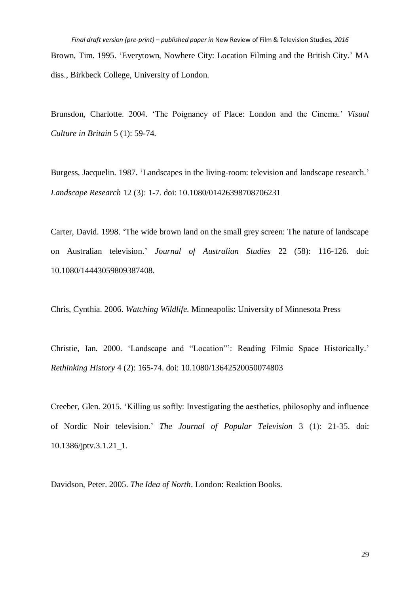*Final draft version (pre-print) – published paper in* New Review of Film & Television Studies*, 2016* Brown, Tim. 1995. 'Everytown, Nowhere City: Location Filming and the British City.' MA diss., Birkbeck College, University of London.

Brunsdon, Charlotte. 2004. 'The Poignancy of Place: London and the Cinema.' *Visual Culture in Britain* 5 (1): 59-74.

Burgess, Jacquelin. 1987. 'Landscapes in the living-room: television and landscape research.' *Landscape Research* 12 (3): 1-7. doi: 10.1080/01426398708706231

Carter, David. 1998. 'The wide brown land on the small grey screen: The nature of landscape on Australian television.' *Journal of Australian Studies* 22 (58): 116-126. doi: 10.1080/14443059809387408.

Chris, Cynthia. 2006. *Watching Wildlife*. Minneapolis: University of Minnesota Press

Christie, Ian. 2000. 'Landscape and "Location"': Reading Filmic Space Historically.' *Rethinking History* 4 (2): 165-74. doi: 10.1080/13642520050074803

Creeber, Glen. 2015. 'Killing us softly: Investigating the aesthetics, philosophy and influence of Nordic Noir television.' *The Journal of Popular Television* 3 (1): 21-35. doi: 10.1386/jptv.3.1.21\_1.

Davidson, Peter. 2005. *The Idea of North*. London: Reaktion Books.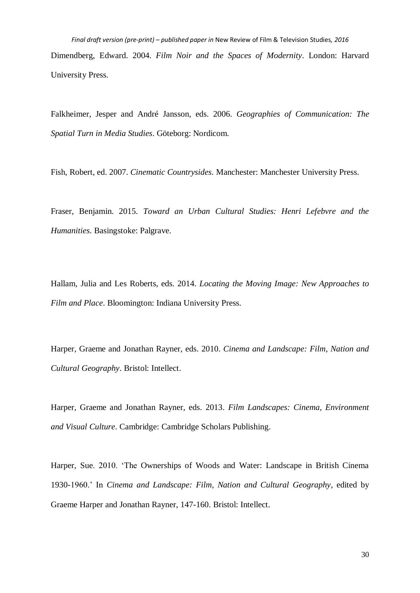*Final draft version (pre-print) – published paper in* New Review of Film & Television Studies*, 2016* Dimendberg, Edward. 2004. *Film Noir and the Spaces of Modernity*. London: Harvard University Press.

Falkheimer, Jesper and André Jansson, eds. 2006. *Geographies of Communication: The Spatial Turn in Media Studies*. Göteborg: Nordicom.

Fish, Robert, ed. 2007. *Cinematic Countrysides*. Manchester: Manchester University Press.

Fraser, Benjamin. 2015. *Toward an Urban Cultural Studies: Henri Lefebvre and the Humanities*. Basingstoke: Palgrave.

Hallam, Julia and Les Roberts, eds. 2014. *Locating the Moving Image: New Approaches to Film and Place*. Bloomington: Indiana University Press.

Harper, Graeme and Jonathan Rayner, eds. 2010. *Cinema and Landscape: Film, Nation and Cultural Geography*. Bristol: Intellect.

Harper, Graeme and Jonathan Rayner, eds. 2013. *Film Landscapes: Cinema, Environment and Visual Culture*. Cambridge: Cambridge Scholars Publishing.

Harper, Sue. 2010. 'The Ownerships of Woods and Water: Landscape in British Cinema 1930-1960.' In *Cinema and Landscape: Film, Nation and Cultural Geography*, edited by Graeme Harper and Jonathan Rayner, 147-160. Bristol: Intellect.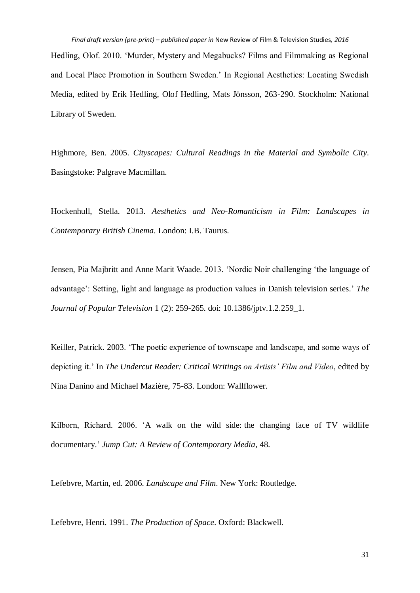*Final draft version (pre-print) – published paper in* New Review of Film & Television Studies*, 2016* Hedling, Olof. 2010. 'Murder, Mystery and Megabucks? Films and Filmmaking as Regional and Local Place Promotion in Southern Sweden.' In Regional Aesthetics: Locating Swedish Media, edited by Erik Hedling, Olof Hedling, Mats Jönsson, 263-290. Stockholm: National Library of Sweden.

Highmore, Ben. 2005. *Cityscapes: Cultural Readings in the Material and Symbolic City*. Basingstoke: Palgrave Macmillan.

Hockenhull, Stella. 2013. *Aesthetics and Neo-Romanticism in Film: Landscapes in Contemporary British Cinema*. London: I.B. Taurus.

Jensen, Pia Majbritt and Anne Marit Waade. 2013. 'Nordic Noir challenging 'the language of advantage': Setting, light and language as production values in Danish television series.' *The Journal of Popular Television* 1 (2): 259-265. doi: 10.1386/jptv.1.2.259\_1.

Keiller, Patrick. 2003. 'The poetic experience of townscape and landscape, and some ways of depicting it.' In *The Undercut Reader: Critical Writings on Artists' Film and Video*, edited by Nina Danino and Michael Mazière, 75-83. London: Wallflower.

Kilborn, Richard. 2006. 'A walk on the wild side: the changing face of TV wildlife documentary.' *Jump Cut: A Review of Contemporary Media*, 48.

Lefebvre, Martin, ed. 2006. *Landscape and Film*. New York: Routledge.

Lefebvre, Henri. 1991. *The Production of Space*. Oxford: Blackwell.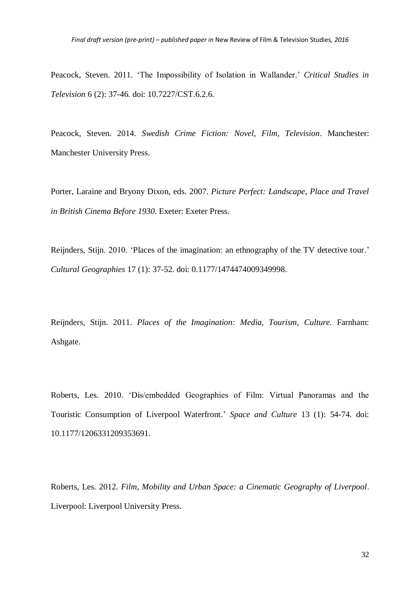Peacock, Steven. 2011. 'The Impossibility of Isolation in Wallander.' *Critical Studies in Television* 6 (2): 37-46. doi: 10.7227/CST.6.2.6.

Peacock, Steven. 2014. *Swedish Crime Fiction: Novel, Film, Television*. Manchester: Manchester University Press.

Porter, Laraine and Bryony Dixon, eds. 2007. *Picture Perfect: Landscape, Place and Travel in British Cinema Before 1930*. Exeter: Exeter Press.

Reijnders, Stijn. 2010. 'Places of the imagination: an ethnography of the TV detective tour.' *Cultural Geographies* 17 (1): 37-52. doi: 0.1177/1474474009349998.

Reijnders, Stijn. 2011. *Places of the Imagination: Media, Tourism, Culture.* Farnham: Ashgate.

Roberts, Les. 2010. 'Dis/embedded Geographies of Film: Virtual Panoramas and the Touristic Consumption of Liverpool Waterfront.' *Space and Culture* 13 (1): 54-74. doi: 10.1177/1206331209353691.

Roberts, Les. 2012. *Film, Mobility and Urban Space: a Cinematic Geography of Liverpool*. Liverpool: Liverpool University Press.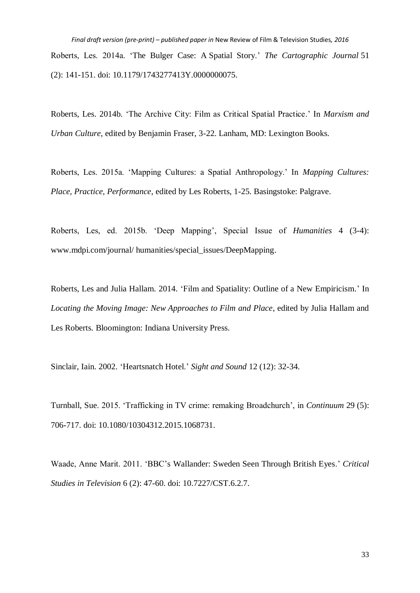*Final draft version (pre-print) – published paper in* New Review of Film & Television Studies*, 2016* Roberts, Les. 2014a. 'The Bulger Case: A Spatial Story.' *The Cartographic Journal* 51 (2): 141-151. doi: 10.1179/1743277413Y.0000000075.

Roberts, Les. 2014b. 'The Archive City: Film as Critical Spatial Practice.' In *Marxism and Urban Culture*, edited by Benjamin Fraser, 3-22. Lanham, MD: Lexington Books.

Roberts, Les. 2015a. 'Mapping Cultures: a Spatial Anthropology.' In *Mapping Cultures: Place, Practice, Performance*, edited by Les Roberts, 1-25. Basingstoke: Palgrave.

Roberts, Les, ed. 2015b. 'Deep Mapping', Special Issue of *Humanities* 4 (3-4): www.mdpi.com/journal/ humanities/special\_issues/DeepMapping.

Roberts, Les and Julia Hallam. 2014. 'Film and Spatiality: Outline of a New Empiricism.' In *Locating the Moving Image: New Approaches to Film and Place*, edited by Julia Hallam and Les Roberts*.* Bloomington: Indiana University Press.

Sinclair, Iain. 2002. 'Heartsnatch Hotel.' *Sight and Sound* 12 (12): 32-34.

Turnball, Sue. 2015. 'Trafficking in TV crime: remaking Broadchurch', in *Continuum* 29 (5): 706-717. doi: 10.1080/10304312.2015.1068731.

Waade, Anne Marit. 2011. 'BBC's Wallander: Sweden Seen Through British Eyes.' *Critical Studies in Television* 6 (2): 47-60. doi: 10.7227/CST.6.2.7.